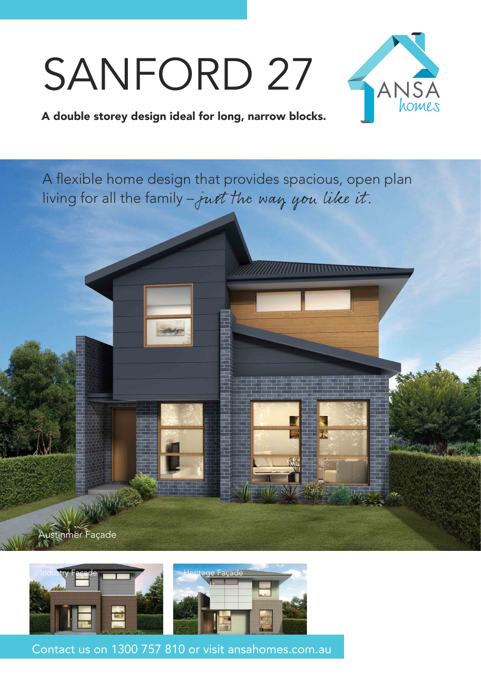## SANFORD 27



## A double storey design ideal for long, narrow blocks.

A flexible home design that provides spacious, open plan living for all the family - just the way you like it.



Austinmer Façade

Contact us on 1300 757 810 or visit ansahomes.com.au